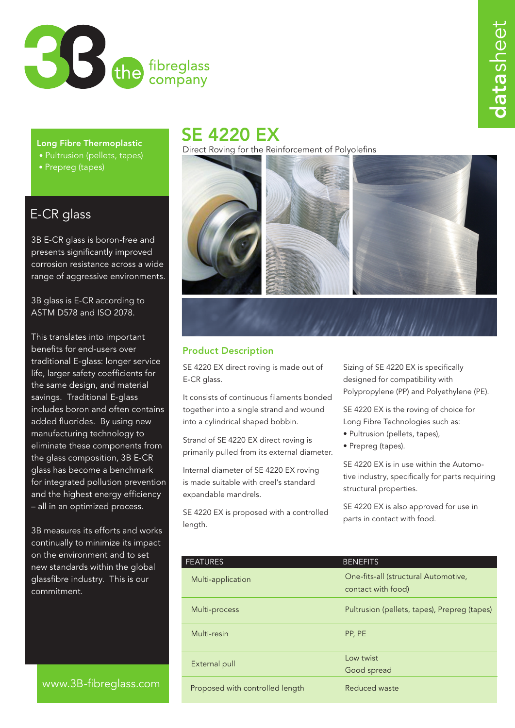

Long Fibre Thermoplastic

- Pultrusion (pellets, tapes)
- Prepreg (tapes)

## E-CR glass

3B E-CR glass is boron-free and presents significantly improved corrosion resistance across a wide range of aggressive environments.

3B glass is E-CR according to ASTM D578 and ISO 2078.

This translates into important benefits for end-users over traditional E-glass: longer service life, larger safety coefficients for the same design, and material savings. Traditional E-glass includes boron and often contains added fluorides. By using new manufacturing technology to eliminate these components from the glass composition, 3B E-CR glass has become a benchmark for integrated pollution prevention and the highest energy efficiency – all in an optimized process.

3B measures its efforts and works continually to minimize its impact on the environment and to set new standards within the global glassfibre industry. This is our commitment.

### www.3B-fibreglass.com

# SE 4220 EX

Direct Roving for the Reinforcement of Polyolefins



### Product Description

SE 4220 EX direct roving is made out of E-CR glass.

It consists of continuous filaments bonded together into a single strand and wound into a cylindrical shaped bobbin.

Strand of SE 4220 EX direct roving is primarily pulled from its external diameter.

Internal diameter of SE 4220 EX roving is made suitable with creel's standard expandable mandrels.

SE 4220 EX is proposed with a controlled length.

Sizing of SE 4220 EX is specifically designed for compatibility with Polypropylene (PP) and Polyethylene (PE).

SE 4220 EX is the roving of choice for Long Fibre Technologies such as:

- Pultrusion (pellets, tapes),
- Prepreg (tapes).

SE 4220 EX is in use within the Automotive industry, specifically for parts requiring structural properties.

SE 4220 EX is also approved for use in parts in contact with food.

| <b>FEATURES</b>                 | <b>BENEFITS</b>                                            |  |
|---------------------------------|------------------------------------------------------------|--|
| Multi-application               | One-fits-all (structural Automotive,<br>contact with food) |  |
|                                 |                                                            |  |
| Multi-process                   | Pultrusion (pellets, tapes), Prepreg (tapes)               |  |
| Multi-resin                     | PP, PE                                                     |  |
|                                 | Low twist                                                  |  |
| External pull                   | Good spread                                                |  |
| Proposed with controlled length | Reduced waste                                              |  |